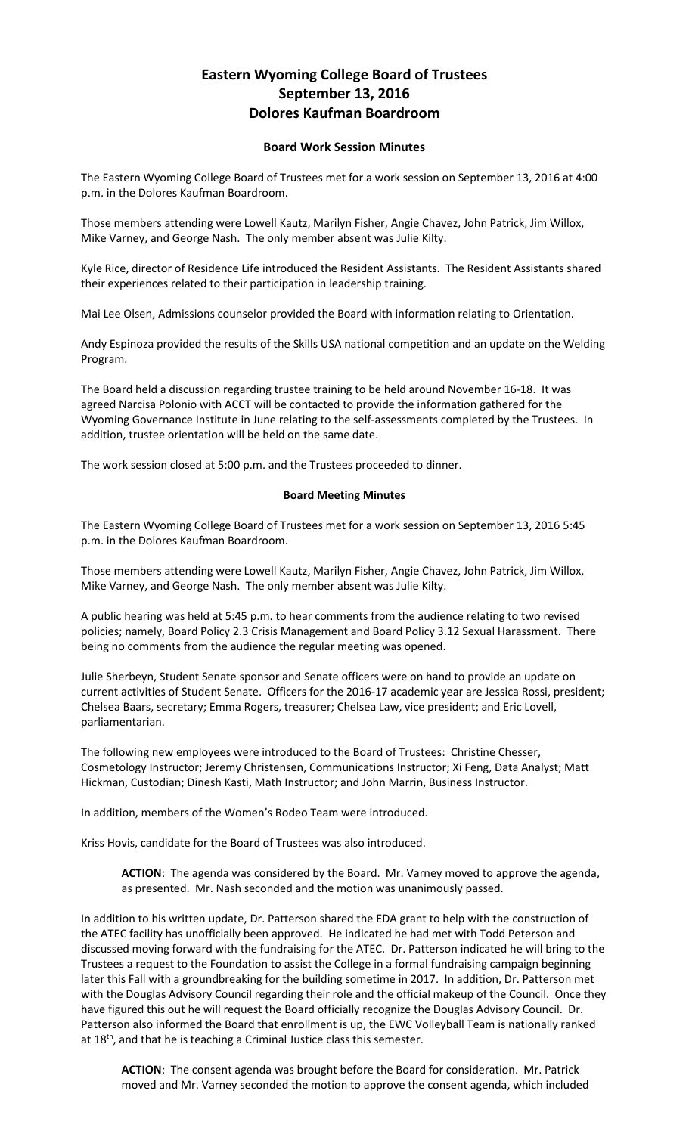## **Eastern Wyoming College Board of Trustees September 13, 2016 Dolores Kaufman Boardroom**

## **Board Work Session Minutes**

The Eastern Wyoming College Board of Trustees met for a work session on September 13, 2016 at 4:00 p.m. in the Dolores Kaufman Boardroom.

Those members attending were Lowell Kautz, Marilyn Fisher, Angie Chavez, John Patrick, Jim Willox, Mike Varney, and George Nash. The only member absent was Julie Kilty.

Kyle Rice, director of Residence Life introduced the Resident Assistants. The Resident Assistants shared their experiences related to their participation in leadership training.

Mai Lee Olsen, Admissions counselor provided the Board with information relating to Orientation.

Andy Espinoza provided the results of the Skills USA national competition and an update on the Welding Program.

The Board held a discussion regarding trustee training to be held around November 16-18. It was agreed Narcisa Polonio with ACCT will be contacted to provide the information gathered for the Wyoming Governance Institute in June relating to the self-assessments completed by the Trustees. In addition, trustee orientation will be held on the same date.

The work session closed at 5:00 p.m. and the Trustees proceeded to dinner.

## **Board Meeting Minutes**

The Eastern Wyoming College Board of Trustees met for a work session on September 13, 2016 5:45 p.m. in the Dolores Kaufman Boardroom.

Those members attending were Lowell Kautz, Marilyn Fisher, Angie Chavez, John Patrick, Jim Willox, Mike Varney, and George Nash. The only member absent was Julie Kilty.

A public hearing was held at 5:45 p.m. to hear comments from the audience relating to two revised policies; namely, Board Policy 2.3 Crisis Management and Board Policy 3.12 Sexual Harassment. There being no comments from the audience the regular meeting was opened.

Julie Sherbeyn, Student Senate sponsor and Senate officers were on hand to provide an update on current activities of Student Senate. Officers for the 2016-17 academic year are Jessica Rossi, president; Chelsea Baars, secretary; Emma Rogers, treasurer; Chelsea Law, vice president; and Eric Lovell, parliamentarian.

The following new employees were introduced to the Board of Trustees: Christine Chesser, Cosmetology Instructor; Jeremy Christensen, Communications Instructor; Xi Feng, Data Analyst; Matt Hickman, Custodian; Dinesh Kasti, Math Instructor; and John Marrin, Business Instructor.

In addition, members of the Women's Rodeo Team were introduced.

Kriss Hovis, candidate for the Board of Trustees was also introduced.

**ACTION**: The agenda was considered by the Board. Mr. Varney moved to approve the agenda, as presented. Mr. Nash seconded and the motion was unanimously passed.

In addition to his written update, Dr. Patterson shared the EDA grant to help with the construction of the ATEC facility has unofficially been approved. He indicated he had met with Todd Peterson and discussed moving forward with the fundraising for the ATEC. Dr. Patterson indicated he will bring to the Trustees a request to the Foundation to assist the College in a formal fundraising campaign beginning later this Fall with a groundbreaking for the building sometime in 2017. In addition, Dr. Patterson met with the Douglas Advisory Council regarding their role and the official makeup of the Council. Once they have figured this out he will request the Board officially recognize the Douglas Advisory Council. Dr. Patterson also informed the Board that enrollment is up, the EWC Volleyball Team is nationally ranked at 18<sup>th</sup>, and that he is teaching a Criminal Justice class this semester.

**ACTION**: The consent agenda was brought before the Board for consideration. Mr. Patrick moved and Mr. Varney seconded the motion to approve the consent agenda, which included